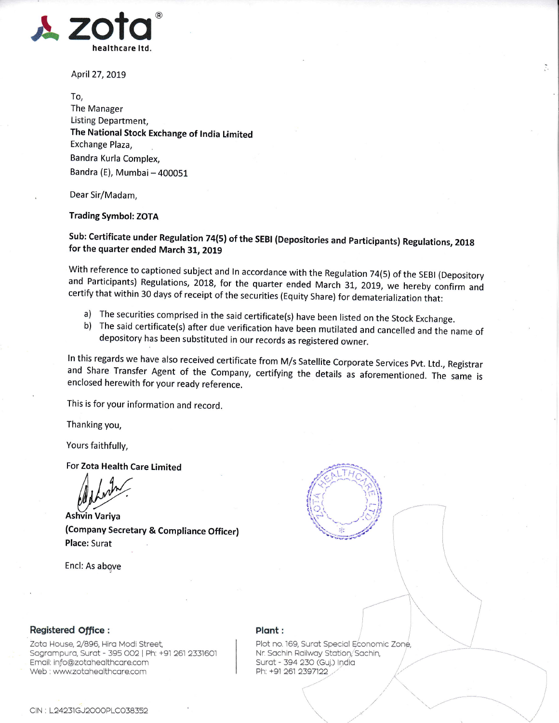

April 27, 2019

To, The Manager Listing Department, The National Stock Exchange of lndia Limited Exchange Plaza, Bandra Kurla Complex, Bandra (E), Mumbai - 400051

Dear Sir/Madam,

Trading Symbol: ZOTA

Sub: Certificate under Regulation 74(5) of the SEBI (Depositories and Participants) Regulations, 2018 for the quarter ended March 31, 2019

With reference to captioned subject and In accordance with the Regulation 74(5) of the SEBI (Depository and Participants) Regulations, 2018, for the quarter ended March 31, 2019, we hereby confirm and certify that within 30 days of receipt of the securities (Equity Share) for dematerialization that:

- 
- a) The securities comprised in the said certificate(s) have been listed on the Stock Exchange.<br>b) The said certificate(s) after due verification have been mutilated and cancelled and the name of depository has been substit

In this regards we have also received certificate from M/s Satellite Corporate Services Pvt. Ltd., Registrar and Share Transfer Agent of the Company, certifying the details as aforementioned. The same is enclosed herewith

This is for your information and record.

Thanking you,

Yours faithfully,

For Zota Health Care Limited

MANY<br>Ashvin Variya<br>(Company Secretary & Compliance Officer) Place: Surat

Encl: As abgve



 $\ddot{\phantom{a}}$ 

,,,(.

 $\frac{1}{2}$ 

,/

## Registered office:

Zoto House, 2/896, Hiro Modi Street Sogrompuro, Surot - 395 OO2 | Ph: +91 261 2331601 Email: info@zotahealthcare.com Web : www.zotahealthcare.com

## Plant:

Plot no. 169, Surat Special Economic Zone, Nr. Sachin Railway Station, Sachin, Surat - 394 230 (Guj.) India Ph: +91 261 2397122